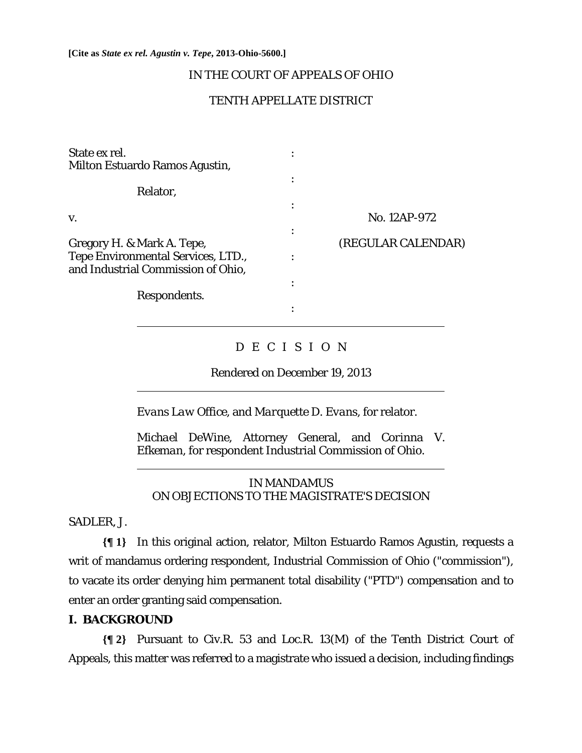**[Cite as** *State ex rel. Agustin v. Tepe***, 2013-Ohio-5600.]**

# IN THE COURT OF APPEALS OF OHIO

# TENTH APPELLATE DISTRICT

| State ex rel.                                                            |                    |
|--------------------------------------------------------------------------|--------------------|
| Milton Estuardo Ramos Agustin,                                           |                    |
| Relator,                                                                 |                    |
| V.                                                                       | No. 12AP-972       |
| Gregory H. & Mark A. Tepe,                                               | (REGULAR CALENDAR) |
| Tepe Environmental Services, LTD.,<br>and Industrial Commission of Ohio, |                    |
| Respondents.                                                             |                    |
|                                                                          |                    |

# D E C I S I O N

Rendered on December 19, 2013

*Evans Law Office,* and *Marquette D. Evans,* for relator.

*Michael DeWine*, Attorney General, and *Corinna V. Efkeman,* for respondent Industrial Commission of Ohio.

## IN MANDAMUS ON OBJECTIONS TO THE MAGISTRATE'S DECISION

SADLER, J.

**{¶ 1}** In this original action, relator, Milton Estuardo Ramos Agustin, requests a writ of mandamus ordering respondent, Industrial Commission of Ohio ("commission"), to vacate its order denying him permanent total disability ("PTD") compensation and to enter an order granting said compensation.

## **I. BACKGROUND**

 $\overline{a}$ 

 $\overline{a}$ 

**{¶ 2}** Pursuant to Civ.R. 53 and Loc.R. 13(M) of the Tenth District Court of Appeals, this matter was referred to a magistrate who issued a decision, including findings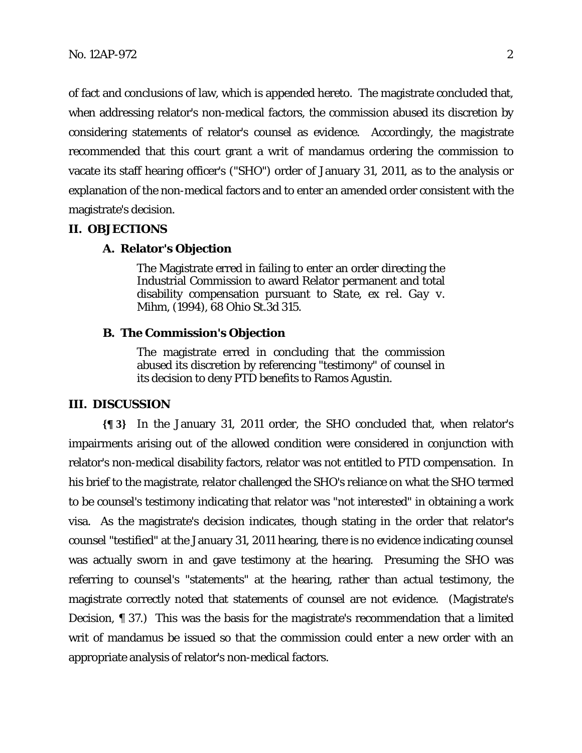of fact and conclusions of law, which is appended hereto. The magistrate concluded that, when addressing relator's non-medical factors, the commission abused its discretion by considering statements of relator's counsel as evidence. Accordingly, the magistrate recommended that this court grant a writ of mandamus ordering the commission to vacate its staff hearing officer's ("SHO") order of January 31, 2011, as to the analysis or explanation of the non-medical factors and to enter an amended order consistent with the magistrate's decision.

#### **II. OBJECTIONS**

#### **A. Relator's Objection**

The Magistrate erred in failing to enter an order directing the Industrial Commission to award Relator permanent and total disability compensation pursuant to *State, ex rel. Gay v. Mihm*, (1994), 68 Ohio St.3d 315.

#### **B. The Commission's Objection**

The magistrate erred in concluding that the commission abused its discretion by referencing "testimony" of counsel in its decision to deny PTD benefits to Ramos Agustin.

#### **III. DISCUSSION**

**{¶ 3}** In the January 31, 2011 order, the SHO concluded that, when relator's impairments arising out of the allowed condition were considered in conjunction with relator's non-medical disability factors, relator was not entitled to PTD compensation. In his brief to the magistrate, relator challenged the SHO's reliance on what the SHO termed to be counsel's testimony indicating that relator was "not interested" in obtaining a work visa. As the magistrate's decision indicates, though stating in the order that relator's counsel "testified" at the January 31, 2011 hearing, there is no evidence indicating counsel was actually sworn in and gave testimony at the hearing. Presuming the SHO was referring to counsel's "statements" at the hearing, rather than actual testimony, the magistrate correctly noted that statements of counsel are not evidence. (Magistrate's Decision, ¶ 37.) This was the basis for the magistrate's recommendation that a limited writ of mandamus be issued so that the commission could enter a new order with an appropriate analysis of relator's non-medical factors.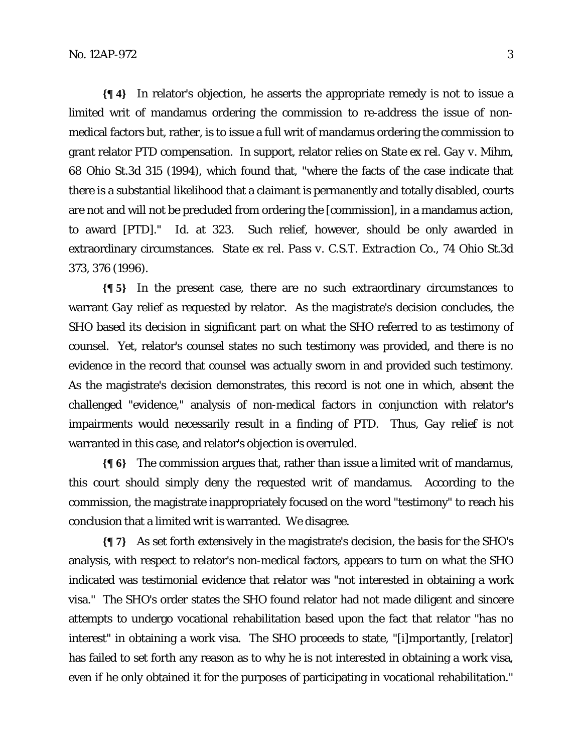**{¶ 4}** In relator's objection, he asserts the appropriate remedy is not to issue a limited writ of mandamus ordering the commission to re-address the issue of nonmedical factors but, rather, is to issue a full writ of mandamus ordering the commission to grant relator PTD compensation. In support, relator relies on *State ex rel. Gay v. Mihm*, 68 Ohio St.3d 315 (1994), which found that, "where the facts of the case indicate that there is a substantial likelihood that a claimant is permanently and totally disabled, courts are not and will not be precluded from ordering the [commission], in a mandamus action, to award [PTD]." *Id.* at 323. Such relief, however, should be only awarded in extraordinary circumstances. *State ex rel. Pass v. C.S.T. Extraction Co.*, 74 Ohio St.3d 373, 376 (1996).

**{¶ 5}** In the present case, there are no such extraordinary circumstances to warrant *Gay* relief as requested by relator. As the magistrate's decision concludes, the SHO based its decision in significant part on what the SHO referred to as testimony of counsel. Yet, relator's counsel states no such testimony was provided, and there is no evidence in the record that counsel was actually sworn in and provided such testimony. As the magistrate's decision demonstrates, this record is not one in which, absent the challenged "evidence," analysis of non-medical factors in conjunction with relator's impairments would necessarily result in a finding of PTD. Thus, *Gay* relief is not warranted in this case, and relator's objection is overruled.

**{¶ 6}** The commission argues that, rather than issue a limited writ of mandamus, this court should simply deny the requested writ of mandamus. According to the commission, the magistrate inappropriately focused on the word "testimony" to reach his conclusion that a limited writ is warranted. We disagree.

**{¶ 7}** As set forth extensively in the magistrate's decision, the basis for the SHO's analysis, with respect to relator's non-medical factors, appears to turn on what the SHO indicated was testimonial evidence that relator was "not interested in obtaining a work visa." The SHO's order states the SHO found relator had not made diligent and sincere attempts to undergo vocational rehabilitation based upon the fact that relator "has no interest" in obtaining a work visa. The SHO proceeds to state, "[i]mportantly, [relator] has failed to set forth any reason as to why he is not interested in obtaining a work visa, even if he only obtained it for the purposes of participating in vocational rehabilitation."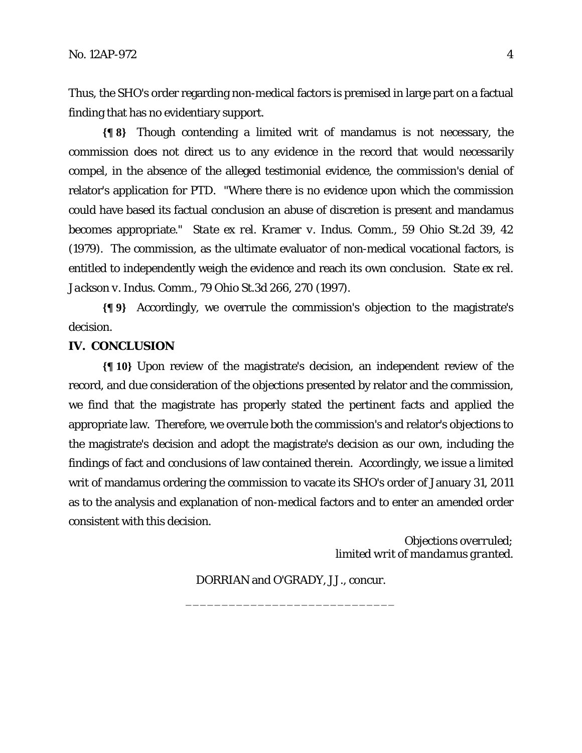Thus, the SHO's order regarding non-medical factors is premised in large part on a factual finding that has no evidentiary support.

**{¶ 8}** Though contending a limited writ of mandamus is not necessary, the commission does not direct us to any evidence in the record that would necessarily compel, in the absence of the alleged testimonial evidence, the commission's denial of relator's application for PTD. "Where there is no evidence upon which the commission could have based its factual conclusion an abuse of discretion is present and mandamus becomes appropriate." *State ex rel. Kramer v. Indus. Comm*., 59 Ohio St.2d 39, 42 (1979). The commission, as the ultimate evaluator of non-medical vocational factors, is entitled to independently weigh the evidence and reach its own conclusion. *State ex rel. Jackson v. Indus. Comm*., 79 Ohio St.3d 266, 270 (1997).

**{¶ 9}** Accordingly, we overrule the commission's objection to the magistrate's decision.

## **IV. CONCLUSION**

**{¶ 10}** Upon review of the magistrate's decision, an independent review of the record, and due consideration of the objections presented by relator and the commission, we find that the magistrate has properly stated the pertinent facts and applied the appropriate law. Therefore, we overrule both the commission's and relator's objections to the magistrate's decision and adopt the magistrate's decision as our own, including the findings of fact and conclusions of law contained therein. Accordingly, we issue a limited writ of mandamus ordering the commission to vacate its SHO's order of January 31, 2011 as to the analysis and explanation of non-medical factors and to enter an amended order consistent with this decision.

> *Objections overruled; limited writ of mandamus granted.*

DORRIAN and O'GRADY, JJ., concur. \_\_\_\_\_\_\_\_\_\_\_\_\_\_\_\_\_\_\_\_\_\_\_\_\_\_\_\_\_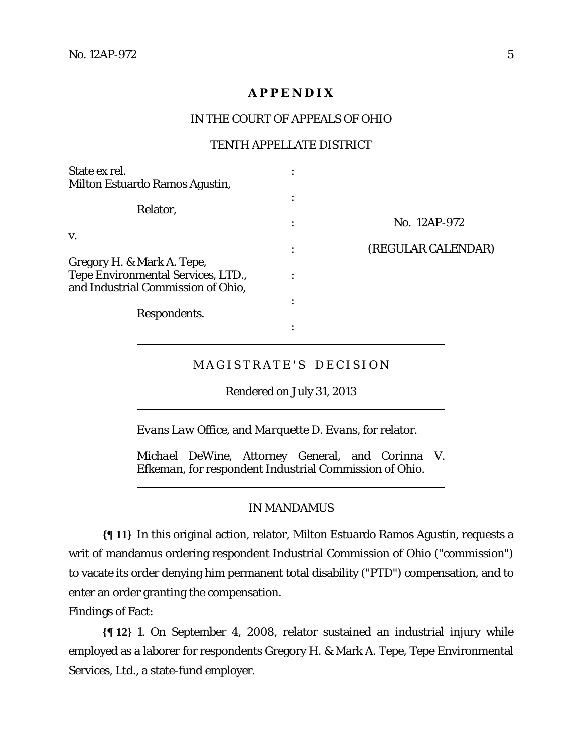# **A P P E N D I X**

#### IN THE COURT OF APPEALS OF OHIO

#### TENTH APPELLATE DISTRICT

| State ex rel.                                                                   |                    |
|---------------------------------------------------------------------------------|--------------------|
| Milton Estuardo Ramos Agustin,                                                  |                    |
|                                                                                 |                    |
| Relator,                                                                        | No. 12AP-972       |
| V.                                                                              | (REGULAR CALENDAR) |
| Gregory H. & Mark A. Tepe,                                                      |                    |
| <b>Tepe Environmental Services, LTD.,</b><br>and Industrial Commission of Ohio, |                    |
|                                                                                 |                    |
| Respondents.                                                                    |                    |
|                                                                                 |                    |

# MAGISTRATE'S DECISION

Rendered on July 31, 2013

*Evans Law Office,* and *Marquette D. Evans,* for relator.

*Michael DeWine*, Attorney General, and *Corinna V. Efkeman,* for respondent Industrial Commission of Ohio.

### IN MANDAMUS

**{¶ 11}** In this original action, relator, Milton Estuardo Ramos Agustin, requests a writ of mandamus ordering respondent Industrial Commission of Ohio ("commission") to vacate its order denying him permanent total disability ("PTD") compensation, and to enter an order granting the compensation.

Findings of Fact:

 $\overline{a}$ 

 $\overline{a}$ 

**{¶ 12}** 1. On September 4, 2008, relator sustained an industrial injury while employed as a laborer for respondents Gregory H. & Mark A. Tepe, Tepe Environmental Services, Ltd., a state-fund employer.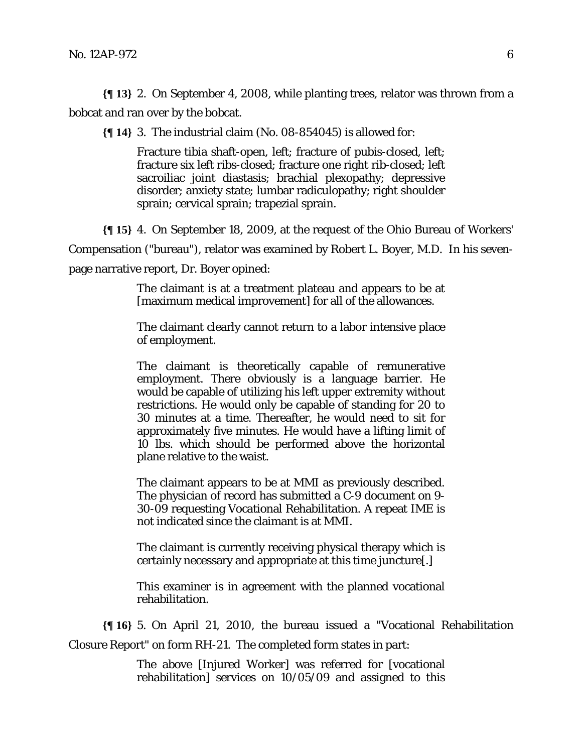**{¶ 13}** 2. On September 4, 2008, while planting trees, relator was thrown from a bobcat and ran over by the bobcat.

**{¶ 14}** 3. The industrial claim (No. 08-854045) is allowed for:

Fracture tibia shaft-open, left; fracture of pubis-closed, left; fracture six left ribs-closed; fracture one right rib-closed; left sacroiliac joint diastasis; brachial plexopathy; depressive disorder; anxiety state; lumbar radiculopathy; right shoulder sprain; cervical sprain; trapezial sprain.

**{¶ 15}** 4. On September 18, 2009, at the request of the Ohio Bureau of Workers'

Compensation ("bureau"), relator was examined by Robert L. Boyer, M.D. In his seven-

page narrative report, Dr. Boyer opined:

The claimant is at a treatment plateau and appears to be at [maximum medical improvement] for all of the allowances.

The claimant clearly cannot return to a labor intensive place of employment.

The claimant is theoretically capable of remunerative employment. There obviously is a language barrier. He would be capable of utilizing his left upper extremity without restrictions. He would only be capable of standing for 20 to 30 minutes at a time. Thereafter, he would need to sit for approximately five minutes. He would have a lifting limit of 10 lbs. which should be performed above the horizontal plane relative to the waist.

The claimant appears to be at MMI as previously described. The physician of record has submitted a C-9 document on 9- 30-09 requesting Vocational Rehabilitation. A repeat IME is not indicated since the claimant is at MMI.

The claimant is currently receiving physical therapy which is certainly necessary and appropriate at this time juncture[.]

This examiner is in agreement with the planned vocational rehabilitation.

**{¶ 16}** 5. On April 21, 2010, the bureau issued a "Vocational Rehabilitation

Closure Report" on form RH-21. The completed form states in part:

The above [Injured Worker] was referred for [vocational rehabilitation] services on 10/05/09 and assigned to this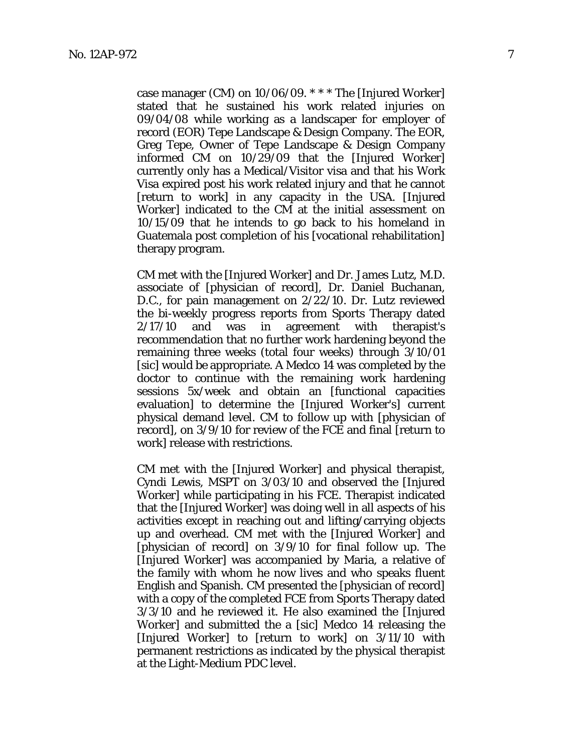case manager (CM) on 10/06/09. \* \* \* The [Injured Worker] stated that he sustained his work related injuries on 09/04/08 while working as a landscaper for employer of record (EOR) Tepe Landscape & Design Company. The EOR, Greg Tepe, Owner of Tepe Landscape & Design Company informed CM on 10/29/09 that the [Injured Worker] currently only has a Medical/Visitor visa and that his Work Visa expired post his work related injury and that he cannot [return to work] in any capacity in the USA. [Injured Worker] indicated to the CM at the initial assessment on 10/15/09 that he intends to go back to his homeland in Guatemala post completion of his [vocational rehabilitation] therapy program.

CM met with the [Injured Worker] and Dr. James Lutz, M.D. associate of [physician of record], Dr. Daniel Buchanan, D.C., for pain management on 2/22/10. Dr. Lutz reviewed the bi-weekly progress reports from Sports Therapy dated 2/17/10 and was in agreement with therapist's recommendation that no further work hardening beyond the remaining three weeks (total four weeks) through 3/10/01 [sic] would be appropriate. A Medco 14 was completed by the doctor to continue with the remaining work hardening sessions 5x/week and obtain an [functional capacities evaluation] to determine the [Injured Worker's] current physical demand level. CM to follow up with [physician of record], on 3/9/10 for review of the FCE and final [return to work] release with restrictions.

CM met with the [Injured Worker] and physical therapist, Cyndi Lewis, MSPT on 3/03/10 and observed the [Injured Worker] while participating in his FCE. Therapist indicated that the [Injured Worker] was doing well in all aspects of his activities except in reaching out and lifting/carrying objects up and overhead. CM met with the [Injured Worker] and [physician of record] on 3/9/10 for final follow up. The [Injured Worker] was accompanied by Maria, a relative of the family with whom he now lives and who speaks fluent English and Spanish. CM presented the [physician of record] with a copy of the completed FCE from Sports Therapy dated 3/3/10 and he reviewed it. He also examined the [Injured Worker] and submitted the a [sic] Medco 14 releasing the [Injured Worker] to [return to work] on 3/11/10 with permanent restrictions as indicated by the physical therapist at the Light-Medium PDC level.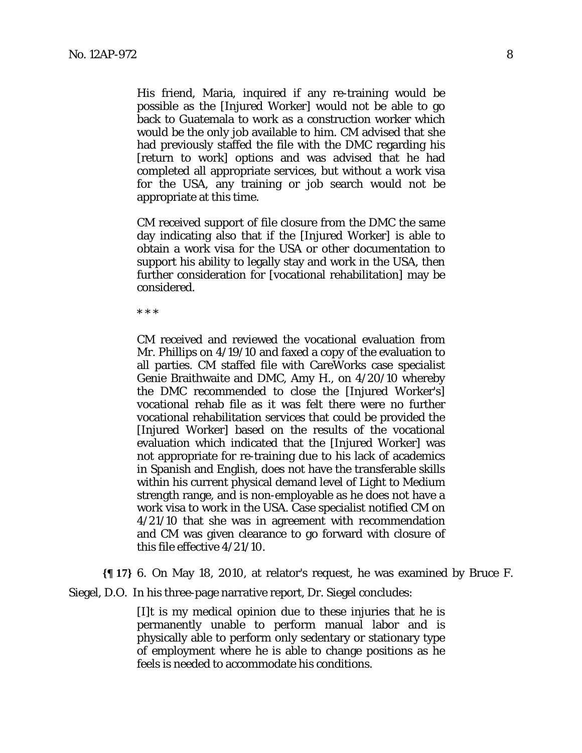His friend, Maria, inquired if any re-training would be possible as the [Injured Worker] would not be able to go back to Guatemala to work as a construction worker which would be the only job available to him. CM advised that she had previously staffed the file with the DMC regarding his [return to work] options and was advised that he had completed all appropriate services, but without a work visa for the USA, any training or job search would not be appropriate at this time.

CM received support of file closure from the DMC the same day indicating also that if the [Injured Worker] is able to obtain a work visa for the USA or other documentation to support his ability to legally stay and work in the USA, then further consideration for [vocational rehabilitation] may be considered.

\* \* \*

CM received and reviewed the vocational evaluation from Mr. Phillips on 4/19/10 and faxed a copy of the evaluation to all parties. CM staffed file with CareWorks case specialist Genie Braithwaite and DMC, Amy H., on 4/20/10 whereby the DMC recommended to close the [Injured Worker's] vocational rehab file as it was felt there were no further vocational rehabilitation services that could be provided the [Injured Worker] based on the results of the vocational evaluation which indicated that the [Injured Worker] was not appropriate for re-training due to his lack of academics in Spanish and English, does not have the transferable skills within his current physical demand level of Light to Medium strength range, and is non-employable as he does not have a work visa to work in the USA. Case specialist notified CM on 4/21/10 that she was in agreement with recommendation and CM was given clearance to go forward with closure of this file effective 4/21/10.

**{¶ 17}** 6. On May 18, 2010, at relator's request, he was examined by Bruce F.

Siegel, D.O. In his three-page narrative report, Dr. Siegel concludes:

[I]t is my medical opinion due to these injuries that he is permanently unable to perform manual labor and is physically able to perform only sedentary or stationary type of employment where he is able to change positions as he feels is needed to accommodate his conditions.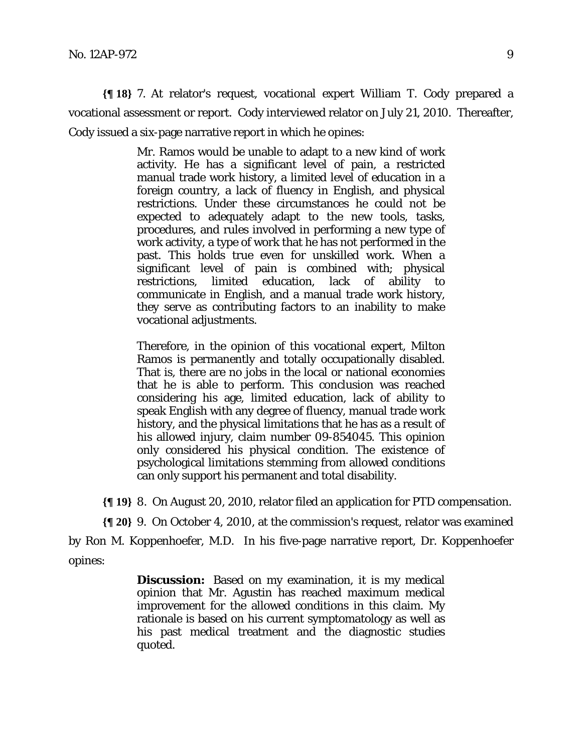**{¶ 18}** 7. At relator's request, vocational expert William T. Cody prepared a vocational assessment or report. Cody interviewed relator on July 21, 2010. Thereafter, Cody issued a six-page narrative report in which he opines:

> Mr. Ramos would be unable to adapt to a new kind of work activity. He has a significant level of pain, a restricted manual trade work history, a limited level of education in a foreign country, a lack of fluency in English, and physical restrictions. Under these circumstances he could not be expected to adequately adapt to the new tools, tasks, procedures, and rules involved in performing a new type of work activity, a type of work that he has not performed in the past. This holds true even for unskilled work. When a significant level of pain is combined with; physical restrictions, limited education, lack of ability to communicate in English, and a manual trade work history, they serve as contributing factors to an inability to make vocational adjustments.

> Therefore, in the opinion of this vocational expert, Milton Ramos is permanently and totally occupationally disabled. That is, there are no jobs in the local or national economies that he is able to perform. This conclusion was reached considering his age, limited education, lack of ability to speak English with any degree of fluency, manual trade work history, and the physical limitations that he has as a result of his allowed injury, claim number 09-854045. This opinion only considered his physical condition. The existence of psychological limitations stemming from allowed conditions can only support his permanent and total disability.

**{¶ 19}** 8. On August 20, 2010, relator filed an application for PTD compensation.

**{¶ 20}** 9. On October 4, 2010, at the commission's request, relator was examined

by Ron M. Koppenhoefer, M.D. In his five-page narrative report, Dr. Koppenhoefer opines:

> **Discussion:** Based on my examination, it is my medical opinion that Mr. Agustin has reached maximum medical improvement for the allowed conditions in this claim. My rationale is based on his current symptomatology as well as his past medical treatment and the diagnostic studies quoted.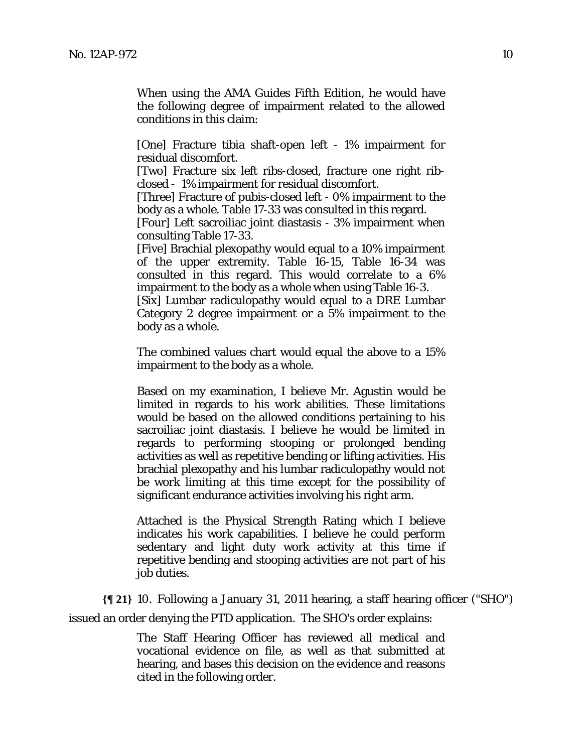When using the AMA Guides Fifth Edition, he would have the following degree of impairment related to the allowed conditions in this claim:

[One] Fracture tibia shaft-open left - 1% impairment for residual discomfort.

[Two] Fracture six left ribs-closed, fracture one right ribclosed - 1% impairment for residual discomfort.

[Three] Fracture of pubis-closed left - 0% impairment to the body as a whole. Table 17-33 was consulted in this regard.

[Four] Left sacroiliac joint diastasis - 3% impairment when consulting Table 17-33.

[Five] Brachial plexopathy would equal to a 10% impairment of the upper extremity. Table 16-15, Table 16-34 was consulted in this regard. This would correlate to a 6% impairment to the body as a whole when using Table 16-3.

[Six] Lumbar radiculopathy would equal to a DRE Lumbar Category 2 degree impairment or a 5% impairment to the body as a whole.

The combined values chart would equal the above to a 15% impairment to the body as a whole.

Based on my examination, I believe Mr. Agustin would be limited in regards to his work abilities. These limitations would be based on the allowed conditions pertaining to his sacroiliac joint diastasis. I believe he would be limited in regards to performing stooping or prolonged bending activities as well as repetitive bending or lifting activities. His brachial plexopathy and his lumbar radiculopathy would not be work limiting at this time except for the possibility of significant endurance activities involving his right arm.

Attached is the Physical Strength Rating which I believe indicates his work capabilities. I believe he could perform sedentary and light duty work activity at this time if repetitive bending and stooping activities are not part of his job duties.

**{¶ 21}** 10. Following a January 31, 2011 hearing, a staff hearing officer ("SHO")

issued an order denying the PTD application. The SHO's order explains:

The Staff Hearing Officer has reviewed all medical and vocational evidence on file, as well as that submitted at hearing, and bases this decision on the evidence and reasons cited in the following order.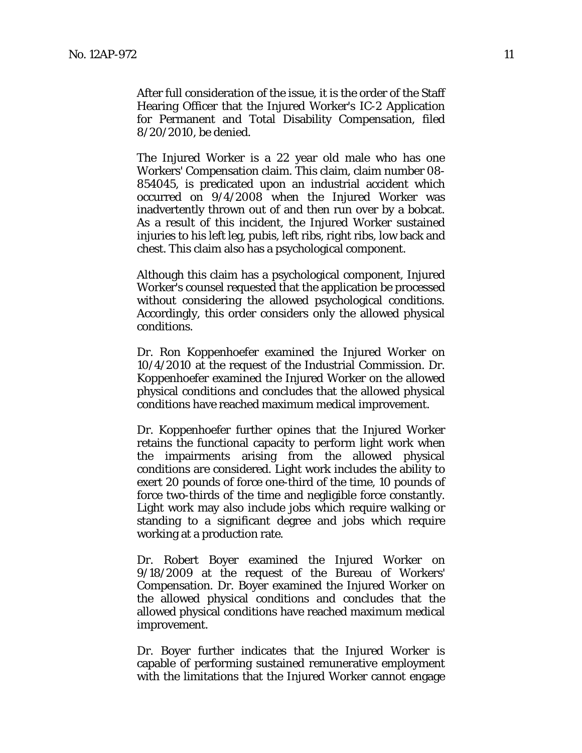After full consideration of the issue, it is the order of the Staff Hearing Officer that the Injured Worker's IC-2 Application for Permanent and Total Disability Compensation, filed 8/20/2010, be denied.

The Injured Worker is a 22 year old male who has one Workers' Compensation claim. This claim, claim number 08- 854045, is predicated upon an industrial accident which occurred on 9/4/2008 when the Injured Worker was inadvertently thrown out of and then run over by a bobcat. As a result of this incident, the Injured Worker sustained injuries to his left leg, pubis, left ribs, right ribs, low back and chest. This claim also has a psychological component.

Although this claim has a psychological component, Injured Worker's counsel requested that the application be processed without considering the allowed psychological conditions. Accordingly, this order considers only the allowed physical conditions.

Dr. Ron Koppenhoefer examined the Injured Worker on 10/4/2010 at the request of the Industrial Commission. Dr. Koppenhoefer examined the Injured Worker on the allowed physical conditions and concludes that the allowed physical conditions have reached maximum medical improvement.

Dr. Koppenhoefer further opines that the Injured Worker retains the functional capacity to perform light work when the impairments arising from the allowed physical conditions are considered. Light work includes the ability to exert 20 pounds of force one-third of the time, 10 pounds of force two-thirds of the time and negligible force constantly. Light work may also include jobs which require walking or standing to a significant degree and jobs which require working at a production rate.

Dr. Robert Boyer examined the Injured Worker on 9/18/2009 at the request of the Bureau of Workers' Compensation. Dr. Boyer examined the Injured Worker on the allowed physical conditions and concludes that the allowed physical conditions have reached maximum medical improvement.

Dr. Boyer further indicates that the Injured Worker is capable of performing sustained remunerative employment with the limitations that the Injured Worker cannot engage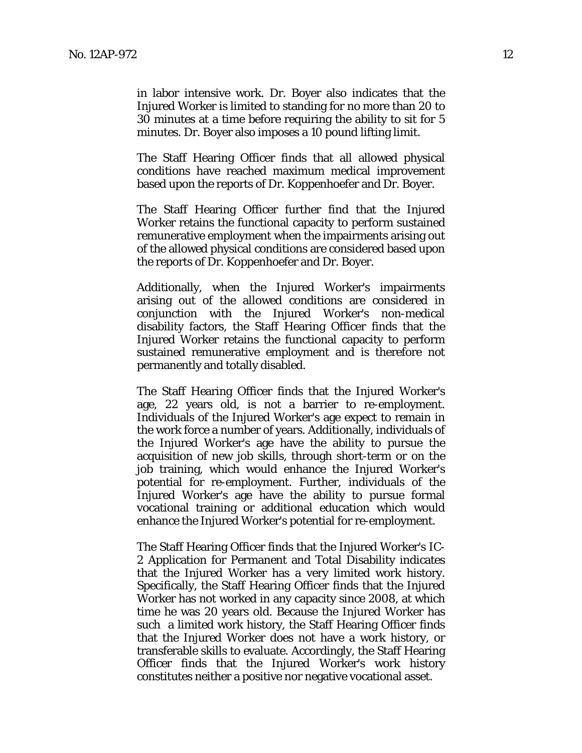in labor intensive work. Dr. Boyer also indicates that the Injured Worker is limited to standing for no more than 20 to 30 minutes at a time before requiring the ability to sit for 5 minutes. Dr. Boyer also imposes a 10 pound lifting limit.

The Staff Hearing Officer finds that all allowed physical conditions have reached maximum medical improvement based upon the reports of Dr. Koppenhoefer and Dr. Boyer.

The Staff Hearing Officer further find that the Injured Worker retains the functional capacity to perform sustained remunerative employment when the impairments arising out of the allowed physical conditions are considered based upon the reports of Dr. Koppenhoefer and Dr. Boyer.

Additionally, when the Injured Worker's impairments arising out of the allowed conditions are considered in conjunction with the Injured Worker's non-medical disability factors, the Staff Hearing Officer finds that the Injured Worker retains the functional capacity to perform sustained remunerative employment and is therefore not permanently and totally disabled.

The Staff Hearing Officer finds that the Injured Worker's age, 22 years old, is not a barrier to re-employment. Individuals of the Injured Worker's age expect to remain in the work force a number of years. Additionally, individuals of the Injured Worker's age have the ability to pursue the acquisition of new job skills, through short-term or on the job training, which would enhance the Injured Worker's potential for re-employment. Further, individuals of the Injured Worker's age have the ability to pursue formal vocational training or additional education which would enhance the Injured Worker's potential for re-employment.

The Staff Hearing Officer finds that the Injured Worker's IC-2 Application for Permanent and Total Disability indicates that the Injured Worker has a very limited work history. Specifically, the Staff Hearing Officer finds that the Injured Worker has not worked in any capacity since 2008, at which time he was 20 years old. Because the Injured Worker has such a limited work history, the Staff Hearing Officer finds that the Injured Worker does not have a work history, or transferable skills to evaluate. Accordingly, the Staff Hearing Officer finds that the Injured Worker's work history constitutes neither a positive nor negative vocational asset.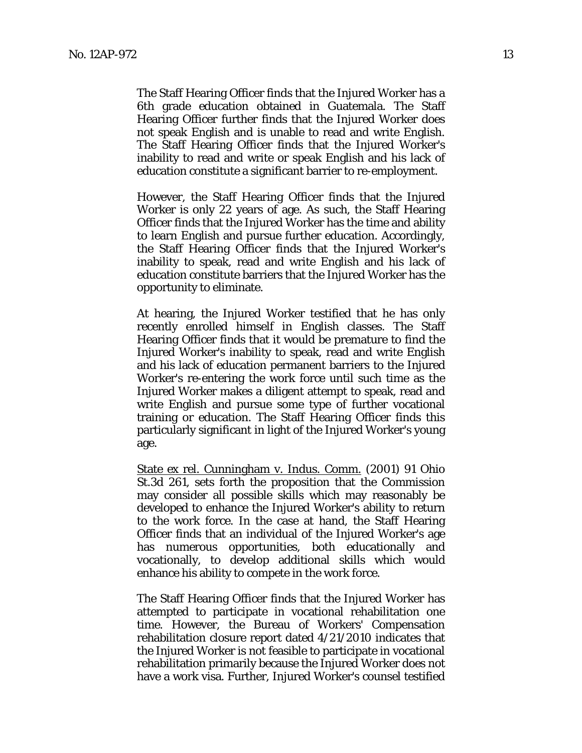The Staff Hearing Officer finds that the Injured Worker has a 6th grade education obtained in Guatemala. The Staff Hearing Officer further finds that the Injured Worker does not speak English and is unable to read and write English. The Staff Hearing Officer finds that the Injured Worker's inability to read and write or speak English and his lack of education constitute a significant barrier to re-employment.

However, the Staff Hearing Officer finds that the Injured Worker is only 22 years of age. As such, the Staff Hearing Officer finds that the Injured Worker has the time and ability to learn English and pursue further education. Accordingly, the Staff Hearing Officer finds that the Injured Worker's inability to speak, read and write English and his lack of education constitute barriers that the Injured Worker has the opportunity to eliminate.

At hearing, the Injured Worker testified that he has only recently enrolled himself in English classes. The Staff Hearing Officer finds that it would be premature to find the Injured Worker's inability to speak, read and write English and his lack of education permanent barriers to the Injured Worker's re-entering the work force until such time as the Injured Worker makes a diligent attempt to speak, read and write English and pursue some type of further vocational training or education. The Staff Hearing Officer finds this particularly significant in light of the Injured Worker's young age.

State ex rel. Cunningham v. Indus. Comm. (2001) 91 Ohio St.3d 261, sets forth the proposition that the Commission may consider all possible skills which may reasonably be developed to enhance the Injured Worker's ability to return to the work force. In the case at hand, the Staff Hearing Officer finds that an individual of the Injured Worker's age has numerous opportunities, both educationally and vocationally, to develop additional skills which would enhance his ability to compete in the work force.

The Staff Hearing Officer finds that the Injured Worker has attempted to participate in vocational rehabilitation one time. However, the Bureau of Workers' Compensation rehabilitation closure report dated 4/21/2010 indicates that the Injured Worker is not feasible to participate in vocational rehabilitation primarily because the Injured Worker does not have a work visa. Further, Injured Worker's counsel testified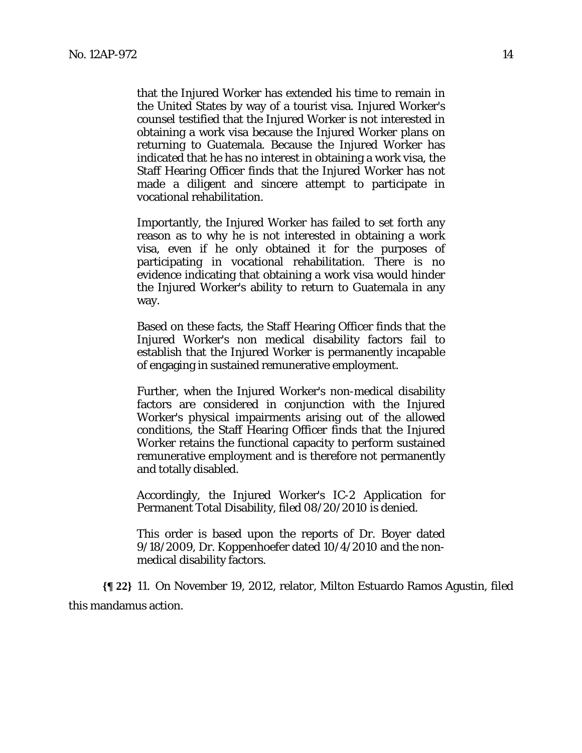that the Injured Worker has extended his time to remain in the United States by way of a tourist visa. Injured Worker's counsel testified that the Injured Worker is not interested in obtaining a work visa because the Injured Worker plans on returning to Guatemala. Because the Injured Worker has indicated that he has no interest in obtaining a work visa, the Staff Hearing Officer finds that the Injured Worker has not made a diligent and sincere attempt to participate in vocational rehabilitation.

Importantly, the Injured Worker has failed to set forth any reason as to why he is not interested in obtaining a work visa, even if he only obtained it for the purposes of participating in vocational rehabilitation. There is no evidence indicating that obtaining a work visa would hinder the Injured Worker's ability to return to Guatemala in any way.

Based on these facts, the Staff Hearing Officer finds that the Injured Worker's non medical disability factors fail to establish that the Injured Worker is permanently incapable of engaging in sustained remunerative employment.

Further, when the Injured Worker's non-medical disability factors are considered in conjunction with the Injured Worker's physical impairments arising out of the allowed conditions, the Staff Hearing Officer finds that the Injured Worker retains the functional capacity to perform sustained remunerative employment and is therefore not permanently and totally disabled.

Accordingly, the Injured Worker's IC-2 Application for Permanent Total Disability, filed 08/20/2010 is denied.

This order is based upon the reports of Dr. Boyer dated 9/18/2009, Dr. Koppenhoefer dated 10/4/2010 and the nonmedical disability factors.

**{¶ 22}** 11. On November 19, 2012, relator, Milton Estuardo Ramos Agustin, filed this mandamus action.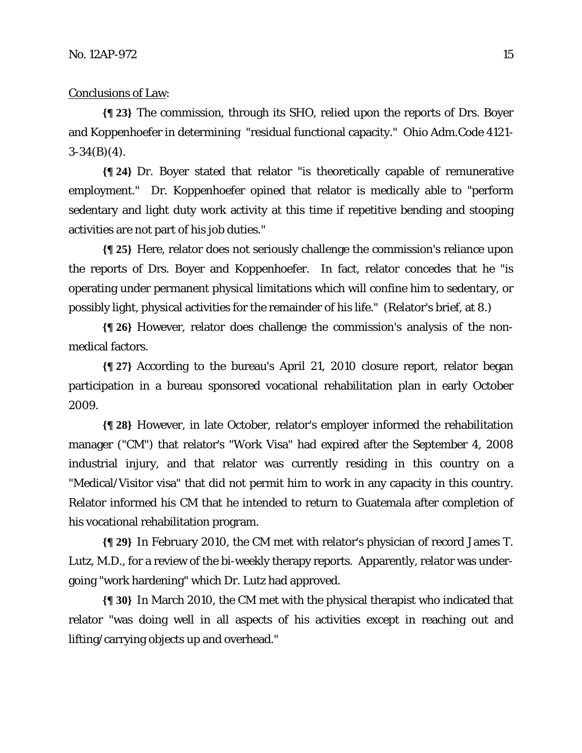#### Conclusions of Law:

**{¶ 23}** The commission, through its SHO, relied upon the reports of Drs. Boyer and Koppenhoefer in determining "residual functional capacity." Ohio Adm.Code 4121-  $3-34(B)(4)$ .

**{¶ 24}** Dr. Boyer stated that relator "is theoretically capable of remunerative employment." Dr. Koppenhoefer opined that relator is medically able to "perform sedentary and light duty work activity at this time if repetitive bending and stooping activities are not part of his job duties."

**{¶ 25}** Here, relator does not seriously challenge the commission's reliance upon the reports of Drs. Boyer and Koppenhoefer. In fact, relator concedes that he "is operating under permanent physical limitations which will confine him to sedentary, or possibly light, physical activities for the remainder of his life." (Relator's brief, at 8.)

**{¶ 26}** However, relator does challenge the commission's analysis of the nonmedical factors.

**{¶ 27}** According to the bureau's April 21, 2010 closure report, relator began participation in a bureau sponsored vocational rehabilitation plan in early October 2009.

**{¶ 28}** However, in late October, relator's employer informed the rehabilitation manager ("CM") that relator's "Work Visa" had expired after the September 4, 2008 industrial injury, and that relator was currently residing in this country on a "Medical/Visitor visa" that did not permit him to work in any capacity in this country. Relator informed his CM that he intended to return to Guatemala after completion of his vocational rehabilitation program.

**{¶ 29}** In February 2010, the CM met with relator's physician of record James T. Lutz, M.D., for a review of the bi-weekly therapy reports. Apparently, relator was undergoing "work hardening" which Dr. Lutz had approved.

**{¶ 30}** In March 2010, the CM met with the physical therapist who indicated that relator "was doing well in all aspects of his activities except in reaching out and lifting/carrying objects up and overhead."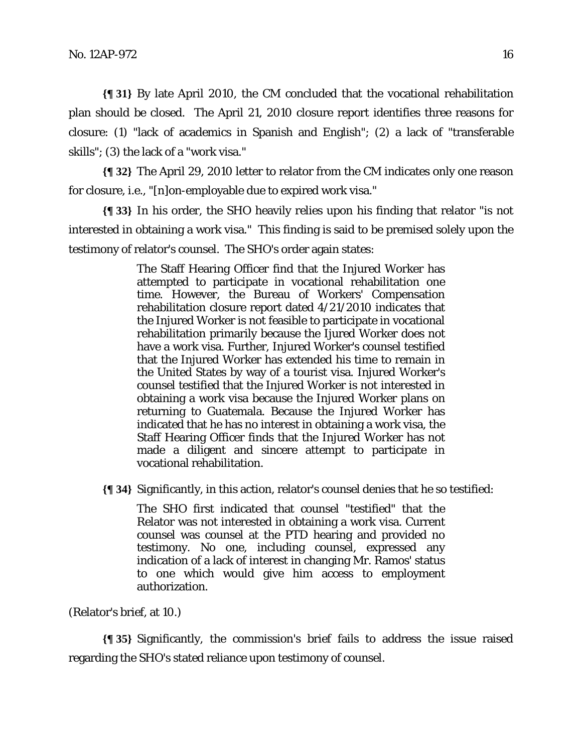**{¶ 31}** By late April 2010, the CM concluded that the vocational rehabilitation plan should be closed. The April 21, 2010 closure report identifies three reasons for closure: (1) "lack of academics in Spanish and English"; (2) a lack of "transferable skills"; (3) the lack of a "work visa."

**{¶ 32}** The April 29, 2010 letter to relator from the CM indicates only one reason for closure, i.e., "[n]on-employable due to expired work visa."

**{¶ 33}** In his order, the SHO heavily relies upon his finding that relator "is not interested in obtaining a work visa." This finding is said to be premised solely upon the testimony of relator's counsel. The SHO's order again states:

> The Staff Hearing Officer find that the Injured Worker has attempted to participate in vocational rehabilitation one time. However, the Bureau of Workers' Compensation rehabilitation closure report dated 4/21/2010 indicates that the Injured Worker is not feasible to participate in vocational rehabilitation primarily because the Ijured Worker does not have a work visa. Further, Injured Worker's counsel testified that the Injured Worker has extended his time to remain in the United States by way of a tourist visa. Injured Worker's counsel testified that the Injured Worker is not interested in obtaining a work visa because the Injured Worker plans on returning to Guatemala. Because the Injured Worker has indicated that he has no interest in obtaining a work visa, the Staff Hearing Officer finds that the Injured Worker has not made a diligent and sincere attempt to participate in vocational rehabilitation.

**{¶ 34}** Significantly, in this action, relator's counsel denies that he so testified:

The SHO first indicated that counsel "testified" that the Relator was not interested in obtaining a work visa. Current counsel was counsel at the PTD hearing and provided no testimony. No one, including counsel, expressed any indication of a lack of interest in changing Mr. Ramos' status to one which would give him access to employment authorization.

(Relator's brief, at 10.)

**{¶ 35}** Significantly, the commission's brief fails to address the issue raised regarding the SHO's stated reliance upon testimony of counsel.